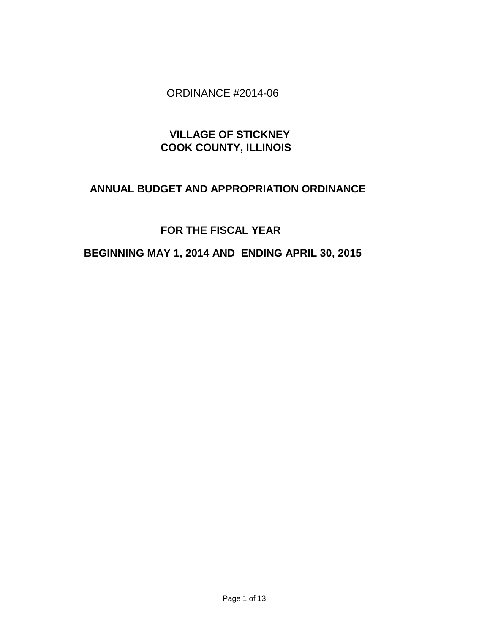## ORDINANCE #2014-06

# **VILLAGE OF STICKNEY COOK COUNTY, ILLINOIS**

## **ANNUAL BUDGET AND APPROPRIATION ORDINANCE**

# **FOR THE FISCAL YEAR**

# **BEGINNING MAY 1, 2014 AND ENDING APRIL 30, 2015**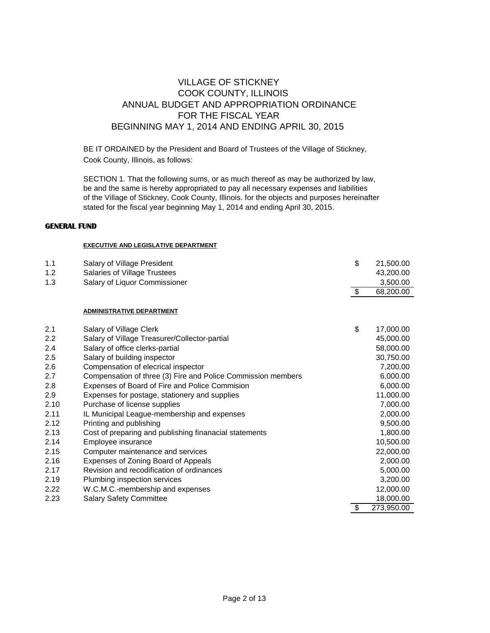### VILLAGE OF STICKNEY COOK COUNTY, ILLINOIS ANNUAL BUDGET AND APPROPRIATION ORDINANCE FOR THE FISCAL YEAR BEGINNING MAY 1, 2014 AND ENDING APRIL 30, 2015

BE IT ORDAINED by the President and Board of Trustees of the Village of Stickney, Cook County, Illinois, as follows:

SECTION 1. That the following sums, or as much thereof as may be authorized by law, be and the same is hereby appropriated to pay all necessary expenses and liabilities of the Village of Stickney, Cook County, Illinois. for the objects and purposes hereinafter stated for the fiscal year beginning May 1, 2014 and ending April 30, 2015.

#### **GENERAL FUND**

#### **EXECUTIVE AND LEGISLATIVE DEPARTMENT**

| 1.1  | Salary of Village President                                  | \$            | 21,500.00  |
|------|--------------------------------------------------------------|---------------|------------|
| 1.2  | Salaries of Village Trustees                                 |               | 43,200.00  |
| 1.3  | Salary of Liquor Commissioner                                |               | 3,500.00   |
|      |                                                              | $\sqrt[6]{3}$ | 68,200.00  |
|      |                                                              |               |            |
|      | <b>ADMINISTRATIVE DEPARTMENT</b>                             |               |            |
| 2.1  | Salary of Village Clerk                                      | \$            | 17,000.00  |
| 2.2  | Salary of Village Treasurer/Collector-partial                |               | 45,000.00  |
| 2.4  | Salary of office clerks-partial                              |               | 58,000.00  |
| 2.5  | Salary of building inspector                                 |               | 30,750.00  |
| 2.6  | Compensation of elecrical inspector                          |               | 7,200.00   |
| 2.7  | Compensation of three (3) Fire and Police Commission members |               | 6,000.00   |
| 2.8  | Expenses of Board of Fire and Police Commision               |               | 6,000.00   |
| 2.9  | Expenses for postage, stationery and supplies                |               | 11,000.00  |
| 2.10 | Purchase of license supplies                                 |               | 7,000.00   |
| 2.11 | IL Municipal League-membership and expenses                  |               | 2,000.00   |
| 2.12 | Printing and publishing                                      |               | 9,500.00   |
| 2.13 | Cost of preparing and publishing finanacial statements       |               | 1,800.00   |
| 2.14 | Employee insurance                                           |               | 10,500.00  |
| 2.15 | Computer maintenance and services                            |               | 22,000.00  |
| 2.16 | Expenses of Zoning Board of Appeals                          |               | 2,000.00   |
| 2.17 | Revision and recodification of ordinances                    |               | 5,000.00   |
| 2.19 | Plumbing inspection services                                 |               | 3,200.00   |
| 2.22 | W.C.M.C.-membership and expenses                             |               | 12,000.00  |
| 2.23 | <b>Salary Safety Committee</b>                               |               | 18,000.00  |
|      |                                                              | \$            | 273,950.00 |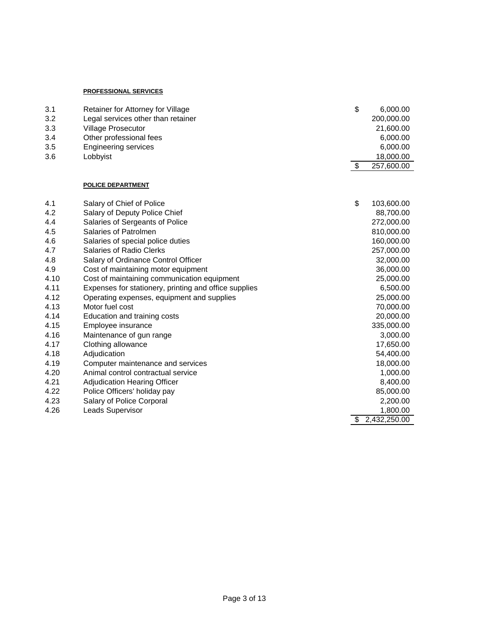#### **PROFESSIONAL SERVICES**

| 3.1  | Retainer for Attorney for Village                     | \$<br>6,000.00     |
|------|-------------------------------------------------------|--------------------|
| 3.2  | Legal services other than retainer                    | 200,000.00         |
| 3.3  | Village Prosecutor                                    | 21,600.00          |
| 3.4  | Other professional fees                               | 6,000.00           |
| 3.5  | <b>Engineering services</b>                           | 6,000.00           |
| 3.6  | Lobbyist                                              | 18,000.00          |
|      |                                                       | \$<br>257,600.00   |
|      | <b>POLICE DEPARTMENT</b>                              |                    |
| 4.1  | Salary of Chief of Police                             | \$<br>103,600.00   |
| 4.2  | Salary of Deputy Police Chief                         | 88,700.00          |
| 4.4  | Salaries of Sergeants of Police                       | 272,000.00         |
| 4.5  | Salaries of Patrolmen                                 | 810,000.00         |
| 4.6  | Salaries of special police duties                     | 160,000.00         |
| 4.7  | Salaries of Radio Clerks                              | 257,000.00         |
| 4.8  | Salary of Ordinance Control Officer                   | 32,000.00          |
| 4.9  | Cost of maintaining motor equipment                   | 36,000.00          |
| 4.10 | Cost of maintaining communication equipment           | 25,000.00          |
| 4.11 | Expenses for stationery, printing and office supplies | 6,500.00           |
| 4.12 | Operating expenses, equipment and supplies            | 25,000.00          |
| 4.13 | Motor fuel cost                                       | 70,000.00          |
| 4.14 | Education and training costs                          | 20,000.00          |
| 4.15 | Employee insurance                                    | 335,000.00         |
| 4.16 | Maintenance of gun range                              | 3,000.00           |
| 4.17 | Clothing allowance                                    | 17,650.00          |
| 4.18 | Adjudication                                          | 54,400.00          |
| 4.19 | Computer maintenance and services                     | 18,000.00          |
| 4.20 | Animal control contractual service                    | 1,000.00           |
| 4.21 | Adjudication Hearing Officer                          | 8,400.00           |
| 4.22 | Police Officers' holiday pay                          | 85,000.00          |
| 4.23 | Salary of Police Corporal                             | 2,200.00           |
| 4.26 | Leads Supervisor                                      | 1,800.00           |
|      |                                                       | \$<br>2,432,250.00 |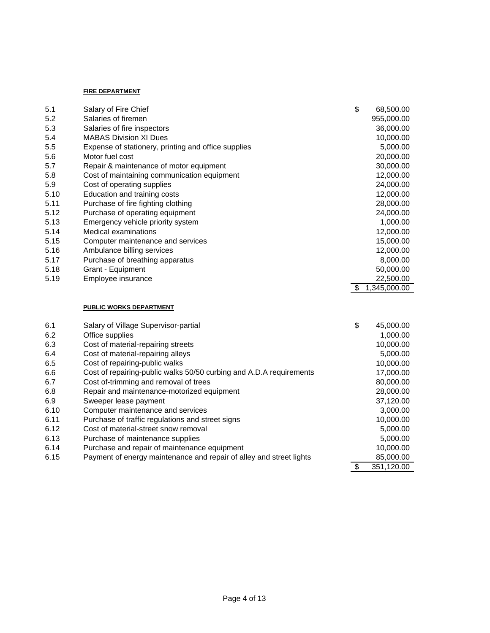#### **FIRE DEPARTMENT**

| 5.1  | Salary of Fire Chief                                                | \$                               | 68,500.00    |
|------|---------------------------------------------------------------------|----------------------------------|--------------|
| 5.2  | Salaries of firemen                                                 |                                  | 955,000.00   |
| 5.3  | Salaries of fire inspectors                                         |                                  | 36,000.00    |
| 5.4  | <b>MABAS Division XI Dues</b>                                       |                                  | 10,000.00    |
| 5.5  | Expense of stationery, printing and office supplies                 |                                  | 5,000.00     |
| 5.6  | Motor fuel cost                                                     |                                  | 20,000.00    |
| 5.7  | Repair & maintenance of motor equipment                             |                                  | 30,000.00    |
| 5.8  | Cost of maintaining communication equipment                         |                                  | 12,000.00    |
| 5.9  | Cost of operating supplies                                          |                                  | 24,000.00    |
| 5.10 | Education and training costs                                        |                                  | 12,000.00    |
| 5.11 | Purchase of fire fighting clothing                                  |                                  | 28,000.00    |
| 5.12 | Purchase of operating equipment                                     |                                  | 24,000.00    |
| 5.13 | Emergency vehicle priority system                                   |                                  | 1,000.00     |
| 5.14 | Medical examinations                                                |                                  | 12,000.00    |
| 5.15 | Computer maintenance and services                                   |                                  | 15,000.00    |
| 5.16 | Ambulance billing services                                          |                                  | 12,000.00    |
| 5.17 | Purchase of breathing apparatus                                     |                                  | 8,000.00     |
| 5.18 | Grant - Equipment                                                   |                                  | 50,000.00    |
| 5.19 | Employee insurance                                                  |                                  | 22,500.00    |
|      |                                                                     | $\boldsymbol{\theta}$            | 1,345,000.00 |
|      |                                                                     |                                  |              |
|      | <b>PUBLIC WORKS DEPARTMENT</b>                                      |                                  |              |
| 6.1  | Salary of Village Supervisor-partial                                | \$                               | 45,000.00    |
| 6.2  | Office supplies                                                     |                                  | 1,000.00     |
| 6.3  | Cost of material-repairing streets                                  |                                  | 10,000.00    |
| 6.4  | Cost of material-repairing alleys                                   |                                  | 5,000.00     |
| 6.5  | Cost of repairing-public walks                                      |                                  | 10,000.00    |
| 6.6  | Cost of repairing-public walks 50/50 curbing and A.D.A requirements |                                  | 17,000.00    |
| 6.7  | Cost of-trimming and removal of trees                               |                                  | 80,000.00    |
| 6.8  | Repair and maintenance-motorized equipment                          |                                  | 28,000.00    |
| 6.9  | Sweeper lease payment                                               |                                  | 37,120.00    |
| 6.10 | Computer maintenance and services                                   |                                  | 3,000.00     |
| 6.11 | Purchase of traffic regulations and street signs                    |                                  | 10,000.00    |
| 6.12 | Cost of material-street snow removal                                |                                  | 5,000.00     |
| 6.13 | Purchase of maintenance supplies                                    |                                  | 5,000.00     |
| 6.14 | Purchase and repair of maintenance equipment                        |                                  | 10,000.00    |
| 6.15 | Payment of energy maintenance and repair of alley and street lights |                                  | 85,000.00    |
|      |                                                                     | $\overline{\boldsymbol{\theta}}$ | 351,120.00   |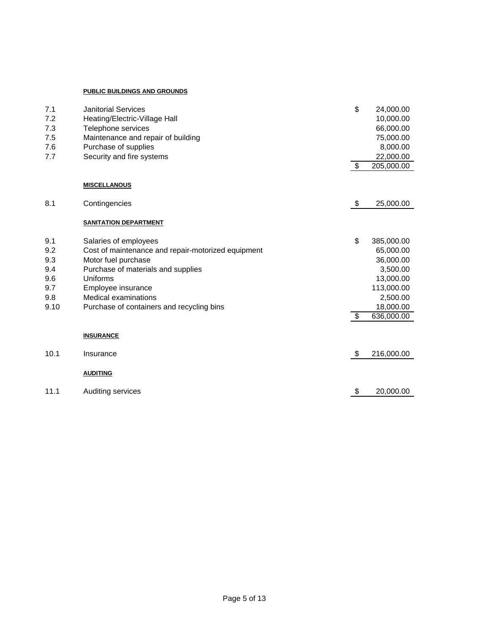#### **PUBLIC BUILDINGS AND GROUNDS**

| 7.1<br>7.2<br>7.3 | <b>Janitorial Services</b><br>Heating/Electric-Village Hall<br>Telephone services | \$                      | 24,000.00<br>10,000.00<br>66,000.00 |
|-------------------|-----------------------------------------------------------------------------------|-------------------------|-------------------------------------|
| 7.5               | Maintenance and repair of building                                                |                         | 75,000.00                           |
| 7.6               | Purchase of supplies                                                              |                         | 8,000.00                            |
| 7.7               | Security and fire systems                                                         |                         | 22,000.00                           |
|                   |                                                                                   | $\sqrt[6]{\frac{1}{2}}$ | 205,000.00                          |
|                   | <b>MISCELLANOUS</b>                                                               |                         |                                     |
| 8.1               | Contingencies                                                                     | \$                      | 25,000.00                           |
|                   | <b>SANITATION DEPARTMENT</b>                                                      |                         |                                     |
| 9.1               | Salaries of employees                                                             | \$                      | 385,000.00                          |
| 9.2               | Cost of maintenance and repair-motorized equipment                                |                         | 65,000.00                           |
| 9.3               | Motor fuel purchase                                                               |                         | 36,000.00                           |
| 9.4               | Purchase of materials and supplies                                                |                         | 3,500.00                            |
| 9.6               | Uniforms                                                                          |                         | 13,000.00                           |
| 9.7               | Employee insurance                                                                |                         | 113,000.00                          |
| 9.8               | Medical examinations                                                              |                         | 2,500.00                            |
| 9.10              | Purchase of containers and recycling bins                                         |                         | 18,000.00                           |
|                   |                                                                                   | \$                      | 636,000.00                          |
|                   | <b>INSURANCE</b>                                                                  |                         |                                     |
| 10.1              | Insurance                                                                         | \$                      | 216,000.00                          |
|                   | <b>AUDITING</b>                                                                   |                         |                                     |
| 11.1              | Auditing services                                                                 | \$                      | 20,000.00                           |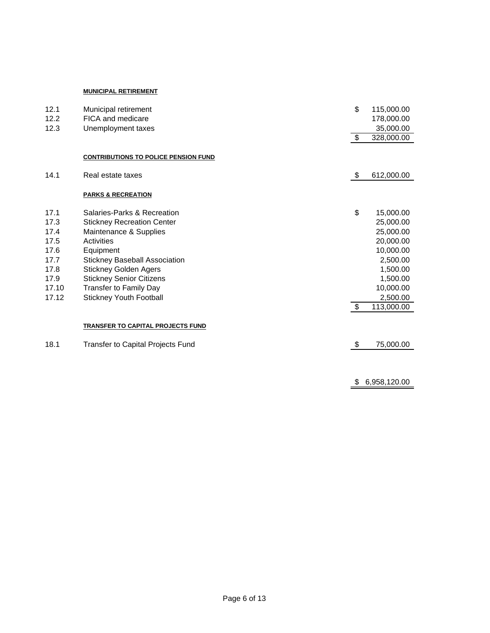#### **MUNICIPAL RETIREMENT**

| 12.1  | Municipal retirement                        | \$                      | 115,000.00   |
|-------|---------------------------------------------|-------------------------|--------------|
| 12.2  | FICA and medicare                           |                         | 178,000.00   |
| 12.3  | Unemployment taxes                          |                         | 35,000.00    |
|       |                                             | $\overline{\mathbf{3}}$ | 328,000.00   |
|       | <b>CONTRIBUTIONS TO POLICE PENSION FUND</b> |                         |              |
| 14.1  | Real estate taxes                           | \$                      | 612,000.00   |
|       | <b>PARKS &amp; RECREATION</b>               |                         |              |
| 17.1  | Salaries-Parks & Recreation                 | \$                      | 15,000.00    |
| 17.3  | <b>Stickney Recreation Center</b>           |                         | 25,000.00    |
| 17.4  | Maintenance & Supplies                      |                         | 25,000.00    |
| 17.5  | Activities                                  |                         | 20,000.00    |
| 17.6  | Equipment                                   |                         | 10,000.00    |
| 17.7  | <b>Stickney Baseball Association</b>        |                         | 2,500.00     |
| 17.8  | <b>Stickney Golden Agers</b>                |                         | 1,500.00     |
| 17.9  | <b>Stickney Senior Citizens</b>             |                         | 1,500.00     |
| 17.10 | <b>Transfer to Family Day</b>               |                         | 10,000.00    |
| 17.12 | <b>Stickney Youth Football</b>              |                         | 2,500.00     |
|       |                                             | \$                      | 113,000.00   |
|       | TRANSFER TO CAPITAL PROJECTS FUND           |                         |              |
| 18.1  | Transfer to Capital Projects Fund           | \$                      | 75,000.00    |
|       |                                             |                         |              |
|       |                                             | \$                      | 6,958,120.00 |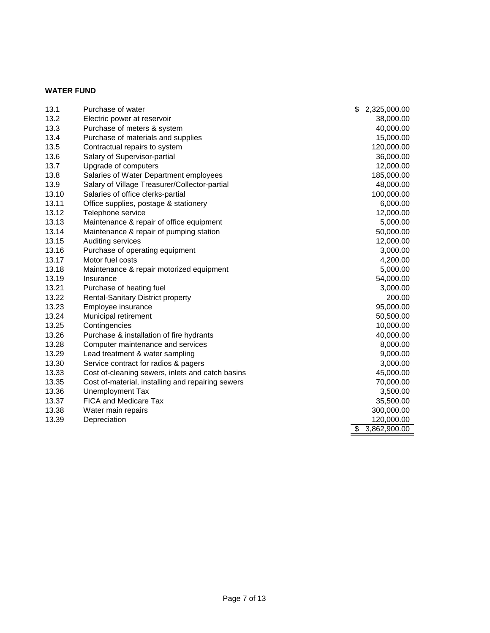### **WATER FUND**

| 13.1  | Purchase of water                                 | \$<br>2,325,000.00 |
|-------|---------------------------------------------------|--------------------|
| 13.2  | Electric power at reservoir                       | 38,000.00          |
| 13.3  | Purchase of meters & system                       | 40,000.00          |
| 13.4  | Purchase of materials and supplies                | 15,000.00          |
| 13.5  | Contractual repairs to system                     | 120,000.00         |
| 13.6  | Salary of Supervisor-partial                      | 36,000.00          |
| 13.7  | Upgrade of computers                              | 12,000.00          |
| 13.8  | Salaries of Water Department employees            | 185,000.00         |
| 13.9  | Salary of Village Treasurer/Collector-partial     | 48,000.00          |
| 13.10 | Salaries of office clerks-partial                 | 100,000.00         |
| 13.11 | Office supplies, postage & stationery             | 6,000.00           |
| 13.12 | Telephone service                                 | 12,000.00          |
| 13.13 | Maintenance & repair of office equipment          | 5,000.00           |
| 13.14 | Maintenance & repair of pumping station           | 50,000.00          |
| 13.15 | Auditing services                                 | 12,000.00          |
| 13.16 | Purchase of operating equipment                   | 3,000.00           |
| 13.17 | Motor fuel costs                                  | 4,200.00           |
| 13.18 | Maintenance & repair motorized equipment          | 5,000.00           |
| 13.19 | Insurance                                         | 54,000.00          |
| 13.21 | Purchase of heating fuel                          | 3,000.00           |
| 13.22 | <b>Rental-Sanitary District property</b>          | 200.00             |
| 13.23 | Employee insurance                                | 95,000.00          |
| 13.24 | Municipal retirement                              | 50,500.00          |
| 13.25 | Contingencies                                     | 10,000.00          |
| 13.26 | Purchase & installation of fire hydrants          | 40,000.00          |
| 13.28 | Computer maintenance and services                 | 8,000.00           |
| 13.29 | Lead treatment & water sampling                   | 9,000.00           |
| 13.30 | Service contract for radios & pagers              | 3,000.00           |
| 13.33 | Cost of-cleaning sewers, inlets and catch basins  | 45,000.00          |
| 13.35 | Cost of-material, installing and repairing sewers | 70,000.00          |
| 13.36 | Unemployment Tax                                  | 3,500.00           |
| 13.37 | <b>FICA and Medicare Tax</b>                      | 35,500.00          |
| 13.38 | Water main repairs                                | 300,000.00         |
| 13.39 | Depreciation                                      | 120,000.00         |
|       |                                                   | \$<br>3,862,900.00 |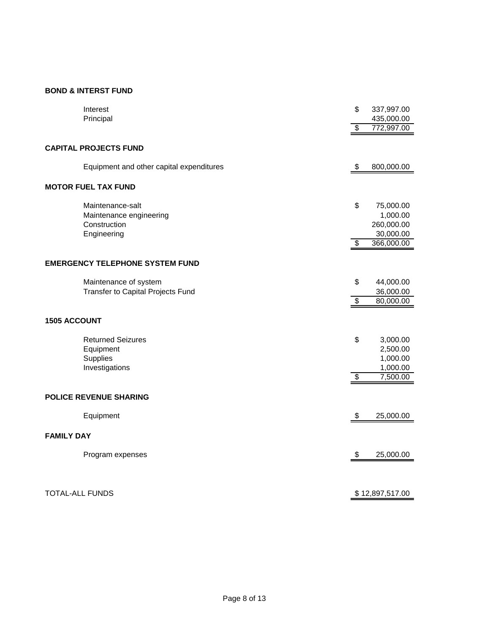### **BOND & INTERST FUND**

|                        | Interest                                 | \$                       | 337,997.00      |
|------------------------|------------------------------------------|--------------------------|-----------------|
|                        | Principal                                |                          | 435,000.00      |
|                        |                                          | \$                       | 772,997.00      |
|                        |                                          |                          |                 |
|                        | <b>CAPITAL PROJECTS FUND</b>             |                          |                 |
|                        | Equipment and other capital expenditures | \$                       | 800,000.00      |
|                        | <b>MOTOR FUEL TAX FUND</b>               |                          |                 |
|                        | Maintenance-salt                         | \$                       | 75,000.00       |
|                        | Maintenance engineering                  |                          | 1,000.00        |
|                        | Construction                             |                          | 260,000.00      |
|                        | Engineering                              |                          | 30,000.00       |
|                        |                                          | $\overline{\mathcal{E}}$ | 366,000.00      |
|                        |                                          |                          |                 |
|                        | <b>EMERGENCY TELEPHONE SYSTEM FUND</b>   |                          |                 |
|                        | Maintenance of system                    | \$                       | 44,000.00       |
|                        | Transfer to Capital Projects Fund        |                          | 36,000.00       |
|                        |                                          | $\overline{\$}$          | 80,000.00       |
| <b>1505 ACCOUNT</b>    |                                          |                          |                 |
|                        |                                          |                          |                 |
|                        | <b>Returned Seizures</b>                 | \$                       | 3,000.00        |
|                        | Equipment                                |                          | 2,500.00        |
|                        | Supplies                                 |                          | 1,000.00        |
|                        | Investigations                           |                          | 1,000.00        |
|                        |                                          | $\overline{\mathcal{E}}$ | 7,500.00        |
|                        |                                          |                          |                 |
|                        | <b>POLICE REVENUE SHARING</b>            |                          |                 |
|                        | Equipment                                | \$                       | 25,000.00       |
| <b>FAMILY DAY</b>      |                                          |                          |                 |
|                        |                                          |                          |                 |
|                        | Program expenses                         | \$                       | 25,000.00       |
|                        |                                          |                          |                 |
| <b>TOTAL-ALL FUNDS</b> |                                          |                          |                 |
|                        |                                          |                          | \$12,897,517.00 |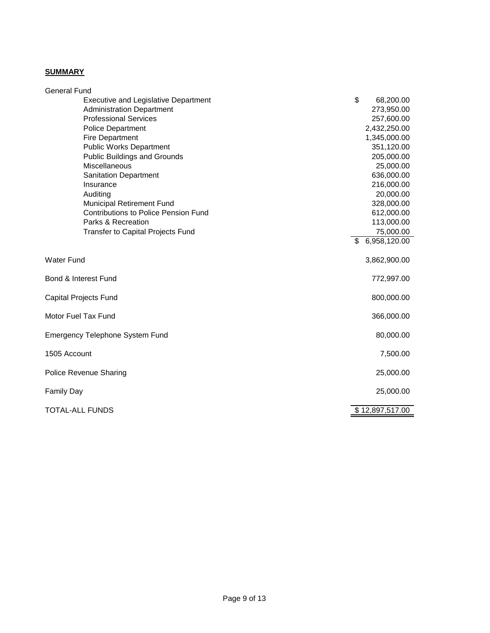## **SUMMARY**

| <b>General Fund</b>                         |                    |
|---------------------------------------------|--------------------|
| <b>Executive and Legislative Department</b> | \$<br>68,200.00    |
| <b>Administration Department</b>            | 273,950.00         |
| <b>Professional Services</b>                | 257,600.00         |
| <b>Police Department</b>                    | 2,432,250.00       |
| <b>Fire Department</b>                      | 1,345,000.00       |
| <b>Public Works Department</b>              | 351,120.00         |
| <b>Public Buildings and Grounds</b>         | 205,000.00         |
| Miscellaneous                               | 25,000.00          |
| <b>Sanitation Department</b>                | 636,000.00         |
| Insurance                                   | 216,000.00         |
| Auditing                                    | 20,000.00          |
| Municipal Retirement Fund                   | 328,000.00         |
| <b>Contributions to Police Pension Fund</b> | 612,000.00         |
| Parks & Recreation                          | 113,000.00         |
| <b>Transfer to Capital Projects Fund</b>    | 75,000.00          |
|                                             | 6,958,120.00<br>\$ |
| <b>Water Fund</b>                           | 3,862,900.00       |
| Bond & Interest Fund                        | 772,997.00         |
| <b>Capital Projects Fund</b>                | 800,000.00         |
| Motor Fuel Tax Fund                         | 366,000.00         |
| <b>Emergency Telephone System Fund</b>      | 80,000.00          |
| 1505 Account                                | 7,500.00           |
| <b>Police Revenue Sharing</b>               | 25,000.00          |
| <b>Family Day</b>                           | 25,000.00          |
| <b>TOTAL-ALL FUNDS</b>                      | \$12,897,517.00    |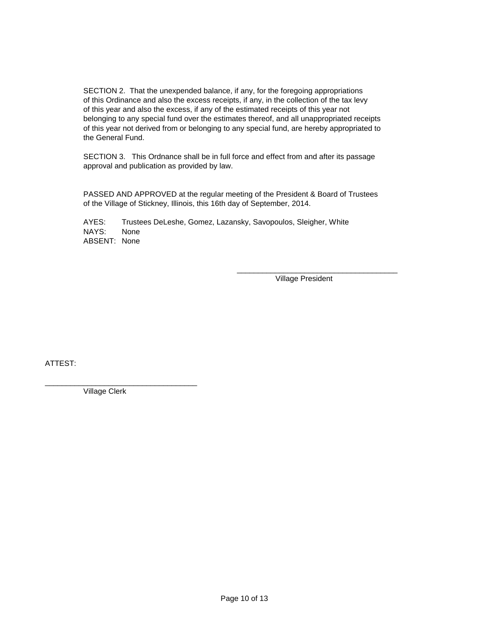SECTION 2. That the unexpended balance, if any, for the foregoing appropriations of this Ordinance and also the excess receipts, if any, in the collection of the tax levy of this year and also the excess, if any of the estimated receipts of this year not belonging to any special fund over the estimates thereof, and all unappropriated receipts of this year not derived from or belonging to any special fund, are hereby appropriated to the General Fund.

SECTION 3. This Ordnance shall be in full force and effect from and after its passage approval and publication as provided by law.

PASSED AND APPROVED at the regular meeting of the President & Board of Trustees of the Village of Stickney, Illinois, this 16th day of September, 2014.

AYES: Trustees DeLeshe, Gomez, Lazansky, Savopoulos, Sleigher, White<br>NAYS: None NAYS: ABSENT: None

> \_\_\_\_\_\_\_\_\_\_\_\_\_\_\_\_\_\_\_\_\_\_\_\_\_\_\_\_\_\_\_\_\_\_\_\_\_\_ Village President

ATTEST:

\_\_\_\_\_\_\_\_\_\_\_\_\_\_\_\_\_\_\_\_\_\_\_\_\_\_\_\_\_\_\_\_\_\_\_\_ Village Clerk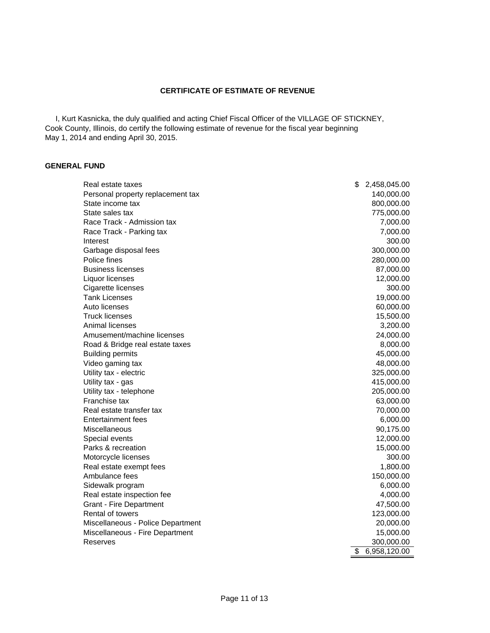#### **CERTIFICATE OF ESTIMATE OF REVENUE**

 I, Kurt Kasnicka, the duly qualified and acting Chief Fiscal Officer of the VILLAGE OF STICKNEY, Cook County, Illinois, do certify the following estimate of revenue for the fiscal year beginning May 1, 2014 and ending April 30, 2015.

#### **GENERAL FUND**

| Real estate taxes                 | \$<br>2,458,045.00 |
|-----------------------------------|--------------------|
| Personal property replacement tax | 140,000.00         |
| State income tax                  | 800,000.00         |
| State sales tax                   | 775,000.00         |
| Race Track - Admission tax        | 7,000.00           |
| Race Track - Parking tax          | 7,000.00           |
| Interest                          | 300.00             |
| Garbage disposal fees             | 300,000.00         |
| Police fines                      | 280,000.00         |
| <b>Business licenses</b>          | 87,000.00          |
| Liquor licenses                   | 12,000.00          |
| Cigarette licenses                | 300.00             |
| <b>Tank Licenses</b>              | 19,000.00          |
| Auto licenses                     | 60,000.00          |
| <b>Truck licenses</b>             | 15,500.00          |
| Animal licenses                   | 3,200.00           |
| Amusement/machine licenses        | 24,000.00          |
| Road & Bridge real estate taxes   | 8,000.00           |
| <b>Building permits</b>           | 45,000.00          |
| Video gaming tax                  | 48,000.00          |
| Utility tax - electric            | 325,000.00         |
| Utility tax - gas                 | 415,000.00         |
| Utility tax - telephone           | 205,000.00         |
| Franchise tax                     | 63,000.00          |
| Real estate transfer tax          | 70,000.00          |
| Entertainment fees                | 6,000.00           |
| Miscellaneous                     | 90,175.00          |
| Special events                    | 12,000.00          |
| Parks & recreation                | 15,000.00          |
| Motorcycle licenses               | 300.00             |
| Real estate exempt fees           | 1,800.00           |
| Ambulance fees                    | 150,000.00         |
| Sidewalk program                  | 6,000.00           |
| Real estate inspection fee        | 4,000.00           |
| <b>Grant - Fire Department</b>    | 47,500.00          |
| Rental of towers                  | 123,000.00         |
| Miscellaneous - Police Department | 20,000.00          |
| Miscellaneous - Fire Department   | 15,000.00          |
| Reserves                          | 300,000.00         |
|                                   | \$<br>6,958,120.00 |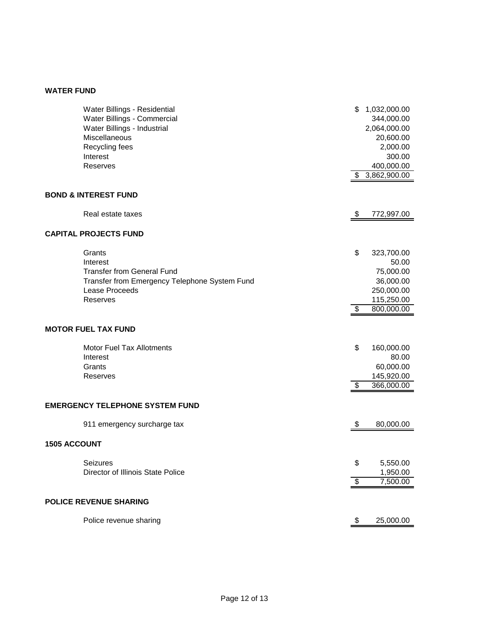### **WATER FUND**

| Water Billings - Residential                  | \$                    | 1,032,000.00 |
|-----------------------------------------------|-----------------------|--------------|
| Water Billings - Commercial                   |                       | 344,000.00   |
| Water Billings - Industrial                   |                       | 2,064,000.00 |
| Miscellaneous                                 |                       | 20,600.00    |
| Recycling fees                                |                       | 2,000.00     |
| Interest                                      |                       | 300.00       |
| <b>Reserves</b>                               |                       | 400,000.00   |
|                                               | \$                    | 3,862,900.00 |
| <b>BOND &amp; INTEREST FUND</b>               |                       |              |
| Real estate taxes                             | \$                    | 772,997.00   |
| <b>CAPITAL PROJECTS FUND</b>                  |                       |              |
| Grants                                        | \$                    | 323,700.00   |
| Interest                                      |                       | 50.00        |
| <b>Transfer from General Fund</b>             |                       | 75,000.00    |
| Transfer from Emergency Telephone System Fund |                       | 36,000.00    |
| Lease Proceeds                                |                       | 250,000.00   |
| Reserves                                      |                       | 115,250.00   |
|                                               | \$                    | 800,000.00   |
| <b>MOTOR FUEL TAX FUND</b>                    |                       |              |
| Motor Fuel Tax Allotments                     | \$                    | 160,000.00   |
| Interest                                      |                       | 80.00        |
| Grants                                        |                       | 60,000.00    |
| Reserves                                      |                       | 145,920.00   |
|                                               | \$                    | 366,000.00   |
| <b>EMERGENCY TELEPHONE SYSTEM FUND</b>        |                       |              |
| 911 emergency surcharge tax                   | $\boldsymbol{\theta}$ | 80,000.00    |
| <b>1505 ACCOUNT</b>                           |                       |              |
| Seizures                                      | \$                    | 5,550.00     |
| Director of Illinois State Police             |                       | 1,950.00     |
|                                               | \$                    | 7,500.00     |
|                                               |                       |              |
| <b>POLICE REVENUE SHARING</b>                 |                       |              |
| Police revenue sharing                        | P                     | 25,000.00    |